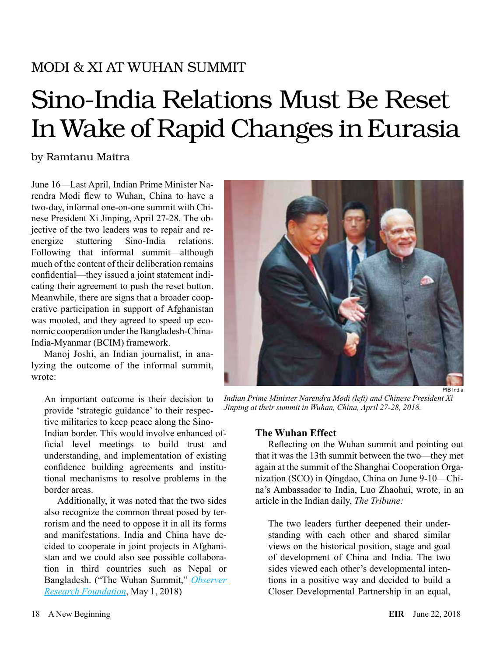# MODI & XI AT WUHAN SUMMIT

# Sino-India Relations Must Be Reset In Wake of Rapid Changes in Eurasia

# by Ramtanu Maitra

June 16—Last April, Indian Prime Minister Narendra Modi flew to Wuhan, China to have a two-day, informal one-on-one summit with Chinese President Xi Jinping, April 27-28. The objective of the two leaders was to repair and reenergize stuttering Sino-India relations. Following that informal summit—although much of the content of their deliberation remains confidential—they issued a joint statement indicating their agreement to push the reset button. Meanwhile, there are signs that a broader cooperative participation in support of Afghanistan was mooted, and they agreed to speed up economic cooperation under the Bangladesh-China-India-Myanmar (BCIM) framework.

Manoj Joshi, an Indian journalist, in analyzing the outcome of the informal summit, wrote:

An important outcome is their decision to provide 'strategic guidance' to their respective militaries to keep peace along the Sino-

Indian border. This would involve enhanced official level meetings to build trust and understanding, and implementation of existing confidence building agreements and institutional mechanisms to resolve problems in the border areas.

Additionally, it was noted that the two sides also recognize the common threat posed by terrorism and the need to oppose it in all its forms and manifestations. India and China have decided to cooperate in joint projects in Afghanistan and we could also see possible collaboration in third countries such as Nepal or Bangladesh. ("The Wuhan Summit," *[Observer](https://www.orfonline.org/research/the-wuhan-summit/)  [Research Foundation](https://www.orfonline.org/research/the-wuhan-summit/)*, May 1, 2018)



*Indian Prime Minister Narendra Modi (left) and Chinese President Xi Jinping at their summit in Wuhan, China, April 27-28, 2018.*

## **The Wuhan Effect**

Reflecting on the Wuhan summit and pointing out that it was the 13th summit between the two—they met again at the summit of the Shanghai Cooperation Organization (SCO) in Qingdao, China on June 9-10—China's Ambassador to India, Luo Zhaohui, wrote, in an article in the Indian daily, *The Tribune:*

The two leaders further deepened their understanding with each other and shared similar views on the historical position, stage and goal of development of China and India. The two sides viewed each other's developmental intentions in a positive way and decided to build a Closer Developmental Partnership in an equal,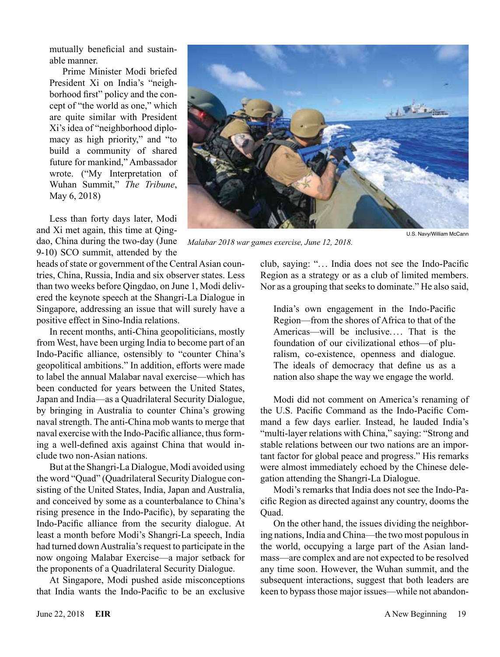mutually beneficial and sustainable manner.

Prime Minister Modi briefed President Xi on India's "neighborhood first" policy and the concept of "the world as one," which are quite similar with President Xi's idea of "neighborhood diplomacy as high priority," and "to build a community of shared future for mankind," Ambassador wrote. ("My Interpretation of Wuhan Summit," *The Tribune*, May 6, 2018)

Less than forty days later, Modi and Xi met again, this time at Qingdao, China during the two-day (June 9-10) SCO summit, attended by the

heads of state or government of the Central Asian countries, China, Russia, India and six observer states. Less than two weeks before Qingdao, on June 1, Modi delivered the keynote speech at the Shangri-La Dialogue in Singapore, addressing an issue that will surely have a positive effect in Sino-India relations.

In recent months, anti-China geopoliticians, mostly from West, have been urging India to become part of an Indo-Pacific alliance, ostensibly to "counter China's geopolitical ambitions." In addition, efforts were made to label the annual Malabar naval exercise—which has been conducted for years between the United States, Japan and India—as a Quadrilateral Security Dialogue, by bringing in Australia to counter China's growing naval strength. The anti-China mob wants to merge that naval exercise with the Indo-Pacific alliance, thus forming a well-defined axis against China that would include two non-Asian nations.

But at the Shangri-La Dialogue, Modi avoided using the word "Quad" (Quadrilateral Security Dialogue consisting of the United States, India, Japan and Australia, and conceived by some as a counterbalance to China's rising presence in the Indo-Pacific), by separating the Indo-Pacific alliance from the security dialogue. At least a month before Modi's Shangri-La speech, India had turned down Australia's request to participate in the now ongoing Malabar Exercise—a major setback for the proponents of a Quadrilateral Security Dialogue.

At Singapore, Modi pushed aside misconceptions that India wants the Indo-Pacific to be an exclusive



*Malabar 2018 war games exercise, June 12, 2018.*

club, saying: ". . . India does not see the Indo-Pacific Region as a strategy or as a club of limited members.

India's own engagement in the Indo-Pacific Region—from the shores of Africa to that of the Americas—will be inclusive. ... That is the foundation of our civilizational ethos—of pluralism, co-existence, openness and dialogue. The ideals of democracy that define us as a nation also shape the way we engage the world.

Nor as a grouping that seeks to dominate." He also said,

Modi did not comment on America's renaming of the U.S. Pacific Command as the Indo-Pacific Command a few days earlier. Instead, he lauded India's "multi-layer relations with China," saying: "Strong and stable relations between our two nations are an important factor for global peace and progress." His remarks were almost immediately echoed by the Chinese delegation attending the Shangri-La Dialogue.

Modi's remarks that India does not see the Indo-Pacific Region as directed against any country, dooms the Quad.

On the other hand, the issues dividing the neighboring nations, India and China—the two most populous in the world, occupying a large part of the Asian landmass—are complex and are not expected to be resolved any time soon. However, the Wuhan summit, and the subsequent interactions, suggest that both leaders are keen to bypass those major issues—while not abandon-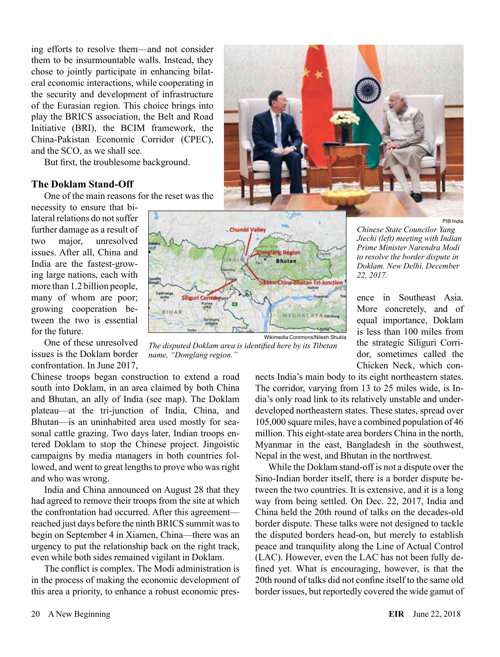ing efforts to resolve them—and not consider them to be insurmountable walls. Instead, they chose to jointly participate in enhancing bilateral economic interactions, while cooperating in the security and development of infrastructure of the Eurasian region. This choice brings into play the BRICS association, the Belt and Road Initiative (BRI), the BCIM framework, the China-Pakistan Economic Corridor (CPEC), and the SCO, as we shall see.

But first, the troublesome background.

#### **The Doklam Stand-Off**

One of the main reasons for the reset was the

necessity to ensure that bilateral relations do not suffer further damage as a result of two major, unresolved issues. After all, China and India are the fastest-growing large nations, each with more than 1.2 billion people, many of whom are poor; growing cooperation between the two is essential for the future.

One of these unresolved issues is the Doklam border confrontation. In June 2017,

Chinese troops began construction to extend a road south into Doklam, in an area claimed by both China and Bhutan, an ally of India (see map). The Doklam plateau—at the tri-junction of India, China, and Bhutan—is an uninhabited area used mostly for seasonal cattle grazing. Two days later, Indian troops entered Doklam to stop the Chinese project. Jingoistic campaigns by media managers in both countries followed, and went to great lengths to prove who was right and who was wrong.

India and China announced on August 28 that they had agreed to remove their troops from the site at which the confrontation had occurred. After this agreement reached just days before the ninth BRICS summit was to begin on September 4 in Xiamen, China—there was an urgency to put the relationship back on the right track, even while both sides remained vigilant in Doklam.

The conflict is complex. The Modi administration is in the process of making the economic development of this area a priority, to enhance a robust economic pres-





*The disputed Doklam area is identified here by its Tibetan name, "Donglang region."*

*Chinese State Councilor Yang Jiechi (left) meeting with Indian Prime Minister Narendra Modi to resolve the border dispute in Doklam. New Delhi, December 22, 2017.*

PIB India

ence in Southeast Asia. More concretely, and of equal importance, Doklam is less than 100 miles from the strategic Siliguri Corridor, sometimes called the Chicken Neck, which con-

nects India's main body to its eight northeastern states. The corridor, varying from 13 to 25 miles wide, is India's only road link to its relatively unstable and underdeveloped northeastern states. These states, spread over 105,000 square miles, have a combined population of 46 million. This eight-state area borders China in the north, Myanmar in the east, Bangladesh in the southwest, Nepal in the west, and Bhutan in the northwest.

While the Doklam stand-off is not a dispute over the Sino-Indian border itself, there is a border dispute between the two countries. It is extensive, and it is a long way from being settled. On Dec. 22, 2017, India and China held the 20th round of talks on the decades-old border dispute. These talks were not designed to tackle the disputed borders head-on, but merely to establish peace and tranquility along the Line of Actual Control (LAC). However, even the LAC has not been fully defined yet. What is encouraging, however, is that the 20th round of talks did not confine itself to the same old border issues, but reportedly covered the wide gamut of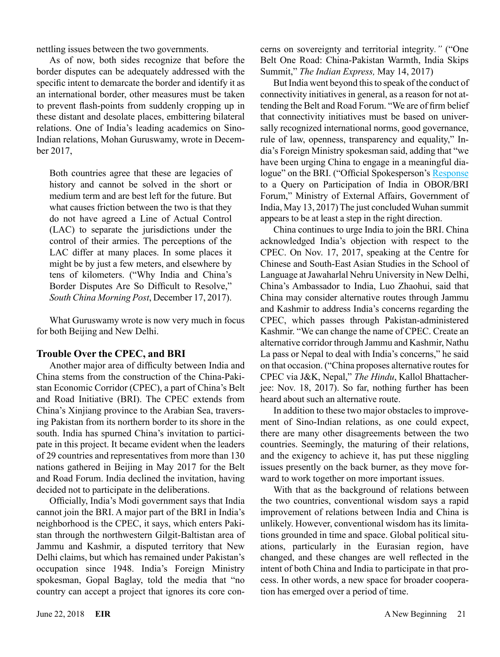nettling issues between the two governments.

As of now, both sides recognize that before the border disputes can be adequately addressed with the specific intent to demarcate the border and identify it as an international border, other measures must be taken to prevent flash-points from suddenly cropping up in these distant and desolate places, embittering bilateral relations. One of India's leading academics on Sino-Indian relations, Mohan Guruswamy, wrote in December 2017,

Both countries agree that these are legacies of history and cannot be solved in the short or medium term and are best left for the future. But what causes friction between the two is that they do not have agreed a Line of Actual Control (LAC) to separate the jurisdictions under the control of their armies. The perceptions of the LAC differ at many places. In some places it might be by just a few meters, and elsewhere by tens of kilometers. ("Why India and China's Border Disputes Are So Difficult to Resolve," *South China Morning Post*, December 17, 2017).

What Guruswamy wrote is now very much in focus for both Beijing and New Delhi.

#### **Trouble Over the CPEC, and BRI**

Another major area of difficulty between India and China stems from the construction of the China-Pakistan Economic Corridor (CPEC), a part of China's Belt and Road Initiative (BRI). The CPEC extends from China's Xinjiang province to the Arabian Sea, traversing Pakistan from its northern border to its shore in the south. India has spurned China's invitation to participate in this project. It became evident when the leaders of 29 countries and representatives from more than 130 nations gathered in Beijing in May 2017 for the Belt and Road Forum. India declined the invitation, having decided not to participate in the deliberations.

Officially, India's Modi government says that India cannot join the BRI. A major part of the BRI in India's neighborhood is the CPEC, it says, which enters Pakistan through the northwestern Gilgit-Baltistan area of Jammu and Kashmir, a disputed territory that New Delhi claims, but which has remained under Pakistan's occupation since 1948. India's Foreign Ministry spokesman, Gopal Baglay, told the media that "no country can accept a project that ignores its core concerns on sovereignty and territorial integrity*."* ("One Belt One Road: China-Pakistan Warmth, India Skips Summit," *The Indian Express,* May 14, 2017)

But India went beyond this to speak of the conduct of connectivity initiatives in general, as a reason for not attending the Belt and Road Forum. "We are of firm belief that connectivity initiatives must be based on universally recognized international norms, good governance, rule of law, openness, transparency and equality," India's Foreign Ministry spokesman said, adding that "we have been urging China to engage in a meaningful dia-logue" on the BRI. ("Official Spokesperson's [Response](http://mea.gov.in/media-briefings.htm?dtl/28463/Official+Spokespersons+response+to+a+query+on+participation+of+India+in+OBORBRI+Forum) to a Query on Participation of India in OBOR/BRI Forum," Ministry of External Affairs, Government of India, May 13, 2017) The just concluded Wuhan summit appears to be at least a step in the right direction.

China continues to urge India to join the BRI. China acknowledged India's objection with respect to the CPEC. On Nov. 17, 2017, speaking at the Centre for Chinese and South-East Asian Studies in the School of Language at Jawaharlal Nehru University in New Delhi, China's Ambassador to India, Luo Zhaohui, said that China may consider alternative routes through Jammu and Kashmir to address India's concerns regarding the CPEC, which passes through Pakistan-administered Kashmir. "We can change the name of CPEC. Create an alternative corridor through Jammu and Kashmir, Nathu La pass or Nepal to deal with India's concerns," he said on that occasion. ("China proposes alternative routes for CPEC via J&K, Nepal," *The Hindu*, Kallol Bhattacherjee: Nov. 18, 2017). So far, nothing further has been heard about such an alternative route.

In addition to these two major obstacles to improvement of Sino-Indian relations, as one could expect, there are many other disagreements between the two countries. Seemingly, the maturing of their relations, and the exigency to achieve it, has put these niggling issues presently on the back burner, as they move forward to work together on more important issues.

With that as the background of relations between the two countries, conventional wisdom says a rapid improvement of relations between India and China is unlikely. However, conventional wisdom has its limitations grounded in time and space. Global political situations, particularly in the Eurasian region, have changed, and these changes are well reflected in the intent of both China and India to participate in that process. In other words, a new space for broader cooperation has emerged over a period of time.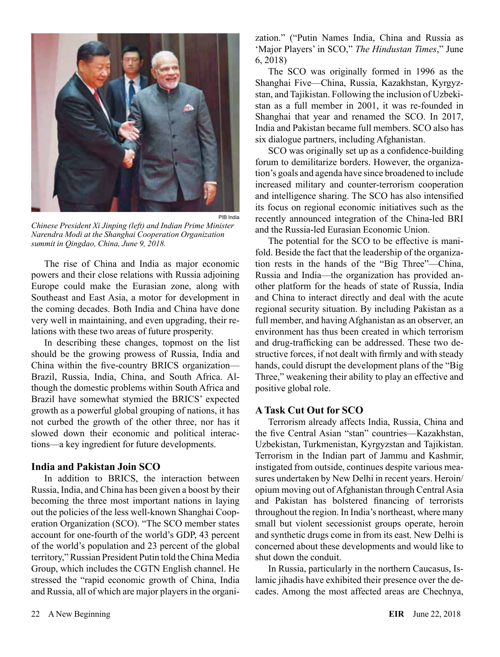

*Chinese President Xi Jinping (left) and Indian Prime Minister Narendra Modi at the Shanghai Cooperation Organization summit in Qingdao, China, June 9, 2018.*

The rise of China and India as major economic powers and their close relations with Russia adjoining Europe could make the Eurasian zone, along with Southeast and East Asia, a motor for development in the coming decades. Both India and China have done very well in maintaining, and even upgrading, their relations with these two areas of future prosperity.

In describing these changes, topmost on the list should be the growing prowess of Russia, India and China within the five-country BRICS organization— Brazil, Russia, India, China, and South Africa. Although the domestic problems within South Africa and Brazil have somewhat stymied the BRICS' expected growth as a powerful global grouping of nations, it has not curbed the growth of the other three, nor has it slowed down their economic and political interactions—a key ingredient for future developments.

#### **India and Pakistan Join SCO**

In addition to BRICS, the interaction between Russia, India, and China has been given a boost by their becoming the three most important nations in laying out the policies of the less well-known Shanghai Cooperation Organization (SCO). "The SCO member states account for one-fourth of the world's GDP, 43 percent of the world's population and 23 percent of the global territory," Russian President Putin told the China Media Group, which includes the CGTN English channel. He stressed the "rapid economic growth of China, India and Russia, all of which are major players in the organization." ("Putin Names India, China and Russia as 'Major Players' in SCO," *The Hindustan Times*," June 6, 2018)

The SCO was originally formed in 1996 as the Shanghai Five—China, Russia, Kazakhstan, Kyrgyzstan, and Tajikistan. Following the inclusion of Uzbekistan as a full member in 2001, it was re-founded in Shanghai that year and renamed the SCO. In 2017, India and Pakistan became full members. SCO also has six dialogue partners, including Afghanistan.

SCO was originally set up as a confidence-building forum to demilitarize borders. However, the organization's goals and agenda have since broadened to include increased military and counter-terrorism cooperation and intelligence sharing. The SCO has also intensified its focus on regional economic initiatives such as the recently announced integration of the China-led BRI and the Russia-led Eurasian Economic Union.

The potential for the SCO to be effective is manifold. Beside the fact that the leadership of the organization rests in the hands of the "Big Three"—China, Russia and India—the organization has provided another platform for the heads of state of Russia, India and China to interact directly and deal with the acute regional security situation. By including Pakistan as a full member, and having Afghanistan as an observer, an environment has thus been created in which terrorism and drug-trafficking can be addressed. These two destructive forces, if not dealt with firmly and with steady hands, could disrupt the development plans of the "Big Three," weakening their ability to play an effective and positive global role.

#### **A Task Cut Out for SCO**

Terrorism already affects India, Russia, China and the five Central Asian "stan" countries—Kazakhstan, Uzbekistan, Turkmenistan, Kyrgyzstan and Tajikistan. Terrorism in the Indian part of Jammu and Kashmir, instigated from outside, continues despite various measures undertaken by New Delhi in recent years. Heroin/ opium moving out of Afghanistan through Central Asia and Pakistan has bolstered financing of terrorists throughout the region. In India's northeast, where many small but violent secessionist groups operate, heroin and synthetic drugs come in from its east. New Delhi is concerned about these developments and would like to shut down the conduit.

In Russia, particularly in the northern Caucasus, Islamic jihadis have exhibited their presence over the decades. Among the most affected areas are Chechnya,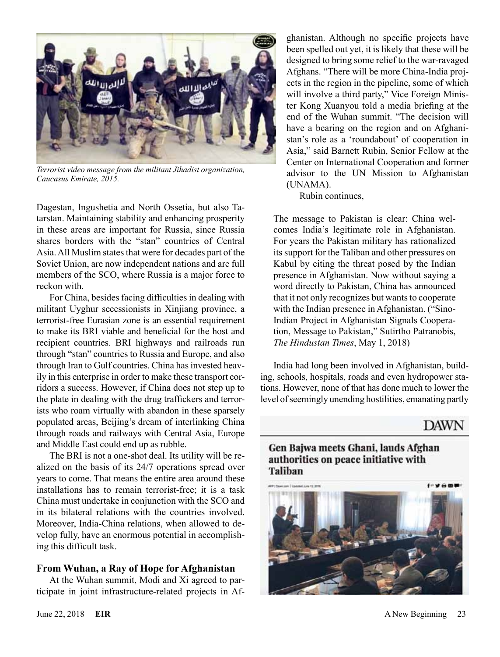

*Terrorist video message from the militant Jihadist organization, Caucasus Emirate, 2015.*

Dagestan, Ingushetia and North Ossetia, but also Tatarstan. Maintaining stability and enhancing prosperity in these areas are important for Russia, since Russia shares borders with the "stan" countries of Central Asia. All Muslim states that were for decades part of the Soviet Union, are now independent nations and are full members of the SCO, where Russia is a major force to reckon with.

For China, besides facing difficulties in dealing with militant Uyghur secessionists in Xinjiang province, a terrorist-free Eurasian zone is an essential requirement to make its BRI viable and beneficial for the host and recipient countries. BRI highways and railroads run through "stan" countries to Russia and Europe, and also through Iran to Gulf countries. China has invested heavily in this enterprise in order to make these transport corridors a success. However, if China does not step up to the plate in dealing with the drug traffickers and terrorists who roam virtually with abandon in these sparsely populated areas, Beijing's dream of interlinking China through roads and railways with Central Asia, Europe and Middle East could end up as rubble.

The BRI is not a one-shot deal. Its utility will be realized on the basis of its 24/7 operations spread over years to come. That means the entire area around these installations has to remain terrorist-free; it is a task China must undertake in conjunction with the SCO and in its bilateral relations with the countries involved. Moreover, India-China relations, when allowed to develop fully, have an enormous potential in accomplishing this difficult task.

#### **From Wuhan, a Ray of Hope for Afghanistan**

At the Wuhan summit, Modi and Xi agreed to participate in joint infrastructure-related projects in Afghanistan. Although no specific projects have been spelled out yet, it is likely that these will be designed to bring some relief to the war-ravaged Afghans. "There will be more China-India projects in the region in the pipeline, some of which will involve a third party," Vice Foreign Minister Kong Xuanyou told a media briefing at the end of the Wuhan summit. "The decision will have a bearing on the region and on Afghanistan's role as a 'roundabout' of cooperation in Asia," said Barnett Rubin, Senior Fellow at the Center on International Cooperation and former advisor to the UN Mission to Afghanistan (UNAMA).

Rubin continues,

The message to Pakistan is clear: China welcomes India's legitimate role in Afghanistan. For years the Pakistan military has rationalized its support for the Taliban and other pressures on Kabul by citing the threat posed by the Indian presence in Afghanistan. Now without saying a word directly to Pakistan, China has announced that it not only recognizes but wants to cooperate with the Indian presence in Afghanistan. ("Sino-Indian Project in Afghanistan Signals Cooperation, Message to Pakistan," Sutirtho Patranobis, *The Hindustan Times*, May 1, 2018)

India had long been involved in Afghanistan, building, schools, hospitals, roads and even hydropower stations. However, none of that has done much to lower the level of seemingly unending hostilities, emanating partly

# **DAWN**

# Gen Bajwa meets Ghani, lauds Afghan authorities on peace initiative with **Taliban**

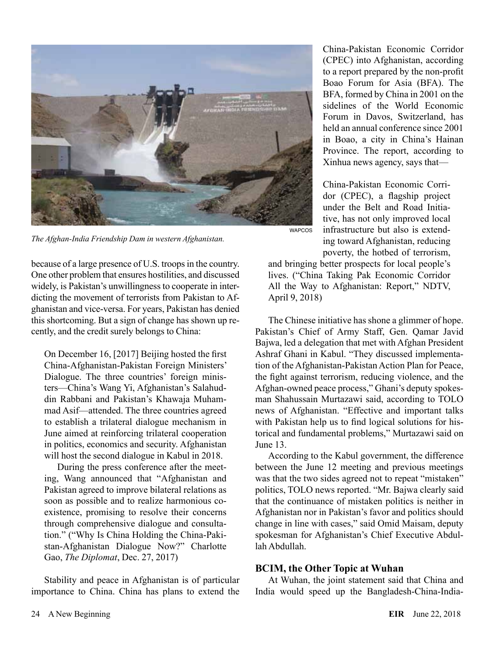

*The Afghan-India Friendship Dam in western Afghanistan.*

because of a large presence of U.S. troops in the country. One other problem that ensures hostilities, and discussed widely, is Pakistan's unwillingness to cooperate in interdicting the movement of terrorists from Pakistan to Afghanistan and vice-versa. For years, Pakistan has denied this shortcoming. But a sign of change has shown up recently, and the credit surely belongs to China:

On December 16, [2017] Beijing hosted the first China-Afghanistan-Pakistan Foreign Ministers' Dialogue. The three countries' foreign ministers—China's Wang Yi, Afghanistan's Salahuddin Rabbani and Pakistan's Khawaja Muhammad Asif—attended. The three countries agreed to establish a trilateral dialogue mechanism in June aimed at reinforcing trilateral cooperation in politics, economics and security. Afghanistan will host the second dialogue in Kabul in 2018.

During the press conference after the meeting, Wang announced that "Afghanistan and Pakistan agreed to improve bilateral relations as soon as possible and to realize harmonious coexistence, promising to resolve their concerns through comprehensive dialogue and consultation." ("Why Is China Holding the China-Pakistan-Afghanistan Dialogue Now?" Charlotte Gao, *The Diplomat*, Dec. 27, 2017)

Stability and peace in Afghanistan is of particular importance to China. China has plans to extend the

China-Pakistan Economic Corridor (CPEC) into Afghanistan, according to a report prepared by the non-profit Boao Forum for Asia (BFA). The BFA, formed by China in 2001 on the sidelines of the World Economic Forum in Davos, Switzerland, has held an annual conference since 2001 in Boao, a city in China's Hainan Province. The report, according to Xinhua news agency, says that—

China-Pakistan Economic Corridor (CPEC), a flagship project under the Belt and Road Initiative, has not only improved local infrastructure but also is extending toward Afghanistan, reducing poverty, the hotbed of terrorism,

and bringing better prospects for local people's lives. ("China Taking Pak Economic Corridor All the Way to Afghanistan: Report," NDTV, April 9, 2018)

The Chinese initiative has shone a glimmer of hope. Pakistan's Chief of Army Staff, Gen. Qamar Javid Bajwa, led a delegation that met with Afghan President Ashraf Ghani in Kabul. "They discussed implementation of the Afghanistan-Pakistan Action Plan for Peace, the fight against terrorism, reducing violence, and the Afghan-owned peace process," Ghani's deputy spokesman Shahussain Murtazawi said, according to TOLO news of Afghanistan. "Effective and important talks with Pakistan help us to find logical solutions for historical and fundamental problems," Murtazawi said on June 13.

According to the Kabul government, the difference between the June 12 meeting and previous meetings was that the two sides agreed not to repeat "mistaken" politics, TOLO news reported. "Mr. Bajwa clearly said that the continuance of mistaken politics is neither in Afghanistan nor in Pakistan's favor and politics should change in line with cases," said Omid Maisam, deputy spokesman for Afghanistan's Chief Executive Abdullah Abdullah.

## **BCIM, the Other Topic at Wuhan**

At Wuhan, the joint statement said that China and India would speed up the Bangladesh-China-India